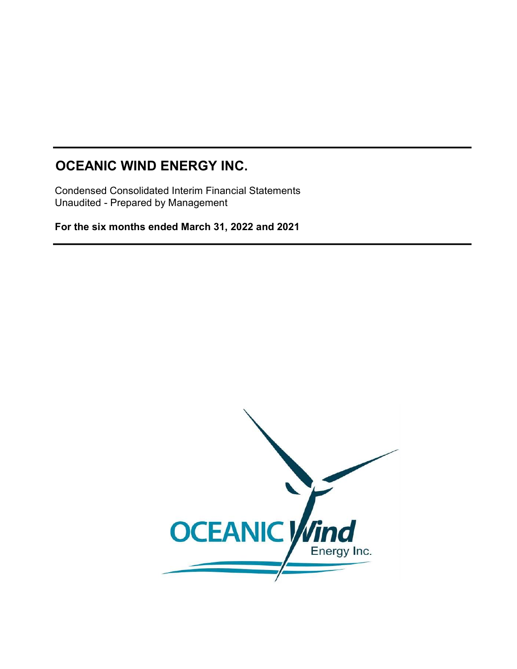Condensed Consolidated Interim Financial Statements Unaudited - Prepared by Management

For the six months ended March 31, 2022 and 2021

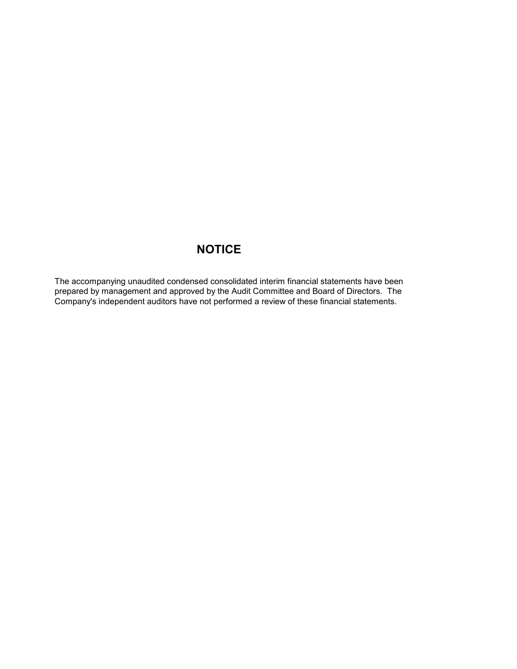## **NOTICE**

The accompanying unaudited condensed consolidated interim financial statements have been prepared by management and approved by the Audit Committee and Board of Directors. The Company's independent auditors have not performed a review of these financial statements.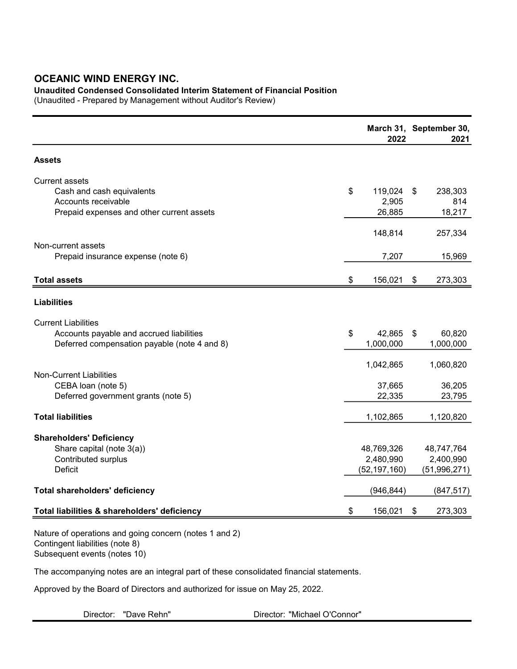### Unaudited Condensed Consolidated Interim Statement of Financial Position

(Unaudited - Prepared by Management without Auditor's Review)

|                                                                                                                        | 2022                                      |    | March 31, September 30,<br>2021           |
|------------------------------------------------------------------------------------------------------------------------|-------------------------------------------|----|-------------------------------------------|
| <b>Assets</b>                                                                                                          |                                           |    |                                           |
| <b>Current assets</b><br>Cash and cash equivalents<br>Accounts receivable<br>Prepaid expenses and other current assets | \$<br>119,024<br>2,905<br>26,885          | \$ | 238,303<br>814<br>18,217                  |
| Non-current assets<br>Prepaid insurance expense (note 6)                                                               | 148,814<br>7,207                          |    | 257,334<br>15,969                         |
| <b>Total assets</b>                                                                                                    | \$<br>156,021                             | S  | 273,303                                   |
| <b>Liabilities</b>                                                                                                     |                                           |    |                                           |
| <b>Current Liabilities</b><br>Accounts payable and accrued liabilities<br>Deferred compensation payable (note 4 and 8) | \$<br>42,865<br>1,000,000                 | \$ | 60,820<br>1,000,000                       |
| <b>Non-Current Liabilities</b><br>CEBA loan (note 5)<br>Deferred government grants (note 5)                            | 1,042,865<br>37,665<br>22,335             |    | 1,060,820<br>36,205<br>23,795             |
| <b>Total liabilities</b>                                                                                               | 1,102,865                                 |    | 1,120,820                                 |
| <b>Shareholders' Deficiency</b><br>Share capital (note 3(a))<br>Contributed surplus<br><b>Deficit</b>                  | 48,769,326<br>2,480,990<br>(52, 197, 160) |    | 48,747,764<br>2,400,990<br>(51, 996, 271) |
| <b>Total shareholders' deficiency</b>                                                                                  | (946, 844)                                |    | (847, 517)                                |
| Total liabilities & shareholders' deficiency                                                                           | \$<br>156,021                             | \$ | 273,303                                   |
| Nature of operations and going concern (notes 1 and 2)                                                                 |                                           |    |                                           |

Contingent liabilities (note 8) Subsequent events (notes 10)

The accompanying notes are an integral part of these consolidated financial statements.

Approved by the Board of Directors and authorized for issue on May 25, 2022.

Director: "Michael O'Connor"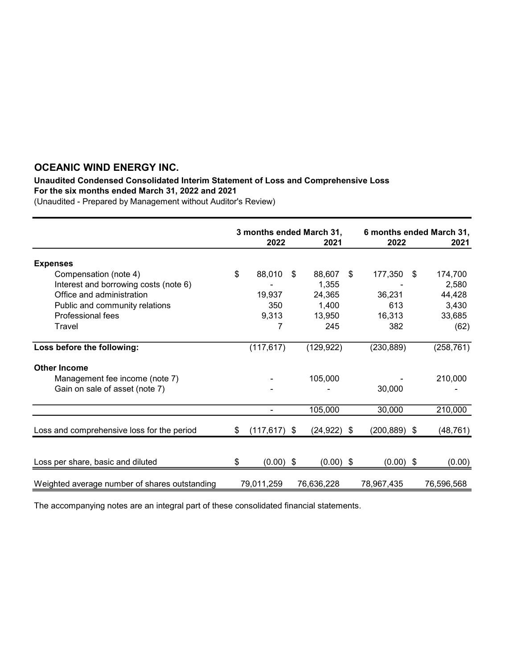#### Unaudited Condensed Consolidated Interim Statement of Loss and Comprehensive Loss For the six months ended March 31, 2022 and 2021

(Unaudited - Prepared by Management without Auditor's Review)

|                                               | 3 months ended March 31, |                 |     | 6 months ended March 31, |    |                 |    |            |
|-----------------------------------------------|--------------------------|-----------------|-----|--------------------------|----|-----------------|----|------------|
|                                               |                          | 2022            |     | 2021                     |    | 2022            |    | 2021       |
| <b>Expenses</b>                               |                          |                 |     |                          |    |                 |    |            |
| Compensation (note 4)                         | \$                       | 88,010          | \$. | 88,607                   | \$ | 177,350         | \$ | 174,700    |
| Interest and borrowing costs (note 6)         |                          |                 |     | 1,355                    |    |                 |    | 2,580      |
| Office and administration                     |                          | 19,937          |     | 24,365                   |    | 36,231          |    | 44,428     |
| Public and community relations                |                          | 350             |     | 1,400                    |    | 613             |    | 3,430      |
| Professional fees                             |                          | 9,313           |     | 13,950                   |    | 16,313          |    | 33,685     |
| Travel                                        |                          | 7               |     | 245                      |    | 382             |    | (62)       |
| Loss before the following:                    |                          | (117, 617)      |     | (129, 922)               |    | (230, 889)      |    | (258, 761) |
| <b>Other Income</b>                           |                          |                 |     |                          |    |                 |    |            |
| Management fee income (note 7)                |                          |                 |     | 105,000                  |    |                 |    | 210,000    |
| Gain on sale of asset (note 7)                |                          |                 |     |                          |    | 30,000          |    |            |
|                                               |                          |                 |     | 105,000                  |    | 30,000          |    | 210,000    |
| Loss and comprehensive loss for the period    | \$                       | $(117, 617)$ \$ |     | $(24, 922)$ \$           |    | $(200, 889)$ \$ |    | (48, 761)  |
|                                               |                          |                 |     |                          |    |                 |    |            |
| Loss per share, basic and diluted             |                          | $(0.00)$ \$     |     | $(0.00)$ \$              |    | $(0.00)$ \$     |    | (0.00)     |
| Weighted average number of shares outstanding |                          | 79,011,259      |     | 76,636,228               |    | 78,967,435      |    | 76,596,568 |

The accompanying notes are an integral part of these consolidated financial statements.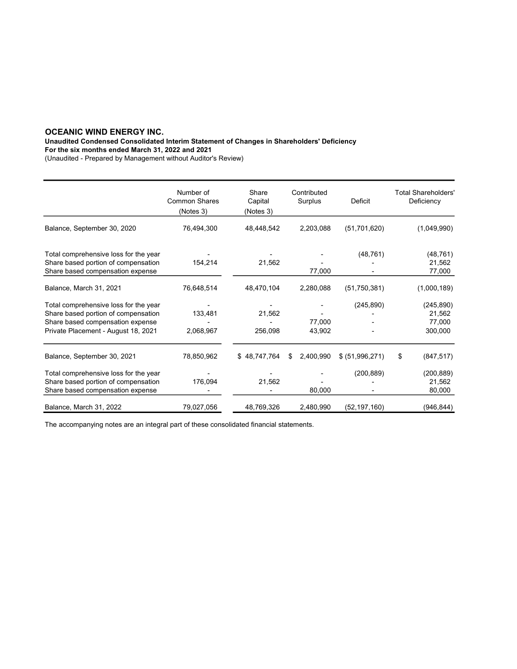Unaudited Condensed Consolidated Interim Statement of Changes in Shareholders' Deficiency

For the six months ended March 31, 2022 and 2021

(Unaudited - Prepared by Management without Auditor's Review)

|                                                                                                                                                         | Number of<br><b>Common Shares</b><br>(Notes 3) | Share<br>Capital<br>(Notes 3) | Contributed<br>Surplus | Deficit         | <b>Total Shareholders'</b><br>Deficiency  |
|---------------------------------------------------------------------------------------------------------------------------------------------------------|------------------------------------------------|-------------------------------|------------------------|-----------------|-------------------------------------------|
| Balance, September 30, 2020                                                                                                                             | 76,494,300                                     | 48,448,542                    | 2,203,088              | (51, 701, 620)  | (1,049,990)                               |
| Total comprehensive loss for the year<br>Share based portion of compensation<br>Share based compensation expense                                        | 154,214                                        | 21,562                        | 77,000                 | (48, 761)       | (48, 761)<br>21,562<br>77,000             |
| Balance, March 31, 2021                                                                                                                                 | 76,648,514                                     | 48,470,104                    | 2,280,088              | (51, 750, 381)  | (1,000,189)                               |
| Total comprehensive loss for the year<br>Share based portion of compensation<br>Share based compensation expense<br>Private Placement - August 18, 2021 | 133,481<br>2,068,967                           | 21,562<br>256,098             | 77,000<br>43,902       | (245, 890)      | (245, 890)<br>21,562<br>77,000<br>300,000 |
| Balance, September 30, 2021                                                                                                                             | 78,850,962                                     | \$48,747,764                  | 2,400,990<br>\$        | \$ (51,996,271) | \$<br>(847, 517)                          |
| Total comprehensive loss for the year<br>Share based portion of compensation<br>Share based compensation expense                                        | 176,094                                        | 21,562                        | 80,000                 | (200, 889)      | (200, 889)<br>21,562<br>80,000            |
| Balance, March 31, 2022                                                                                                                                 | 79,027,056                                     | 48,769,326                    | 2,480,990              | (52, 197, 160)  | (946, 844)                                |

The accompanying notes are an integral part of these consolidated financial statements.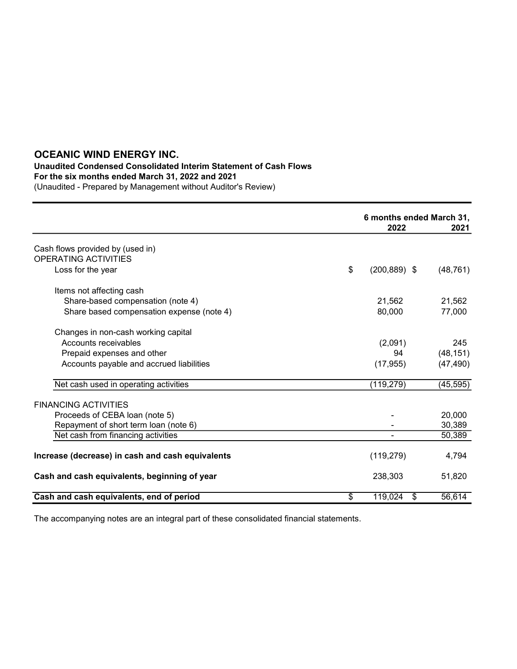## Unaudited Condensed Consolidated Interim Statement of Cash Flows

For the six months ended March 31, 2022 and 2021

(Unaudited - Prepared by Management without Auditor's Review)

|                                                  |                 | 6 months ended March 31, |           |  |
|--------------------------------------------------|-----------------|--------------------------|-----------|--|
|                                                  |                 | 2022                     | 2021      |  |
| Cash flows provided by (used in)                 |                 |                          |           |  |
| <b>OPERATING ACTIVITIES</b>                      |                 |                          |           |  |
| Loss for the year                                | \$              | $(200, 889)$ \$          | (48, 761) |  |
| Items not affecting cash                         |                 |                          |           |  |
| Share-based compensation (note 4)                |                 | 21,562                   | 21,562    |  |
| Share based compensation expense (note 4)        |                 | 80,000                   | 77,000    |  |
| Changes in non-cash working capital              |                 |                          |           |  |
| Accounts receivables                             |                 | (2,091)                  | 245       |  |
| Prepaid expenses and other                       |                 | 94                       | (48, 151) |  |
| Accounts payable and accrued liabilities         |                 | (17, 955)                | (47, 490) |  |
| Net cash used in operating activities            |                 | (119, 279)               | (45, 595) |  |
| <b>FINANCING ACTIVITIES</b>                      |                 |                          |           |  |
| Proceeds of CEBA loan (note 5)                   |                 |                          | 20,000    |  |
| Repayment of short term loan (note 6)            |                 |                          | 30,389    |  |
| Net cash from financing activities               |                 |                          | 50,389    |  |
| Increase (decrease) in cash and cash equivalents |                 | (119, 279)               | 4,794     |  |
| Cash and cash equivalents, beginning of year     |                 | 238,303                  | 51,820    |  |
| Cash and cash equivalents, end of period         | $\overline{\$}$ | 119,024<br>\$            | 56,614    |  |

The accompanying notes are an integral part of these consolidated financial statements.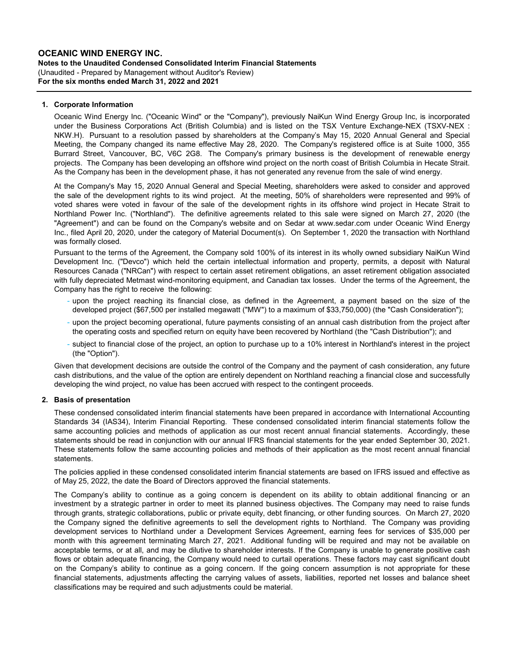#### OCEANIC WIND ENERGY INC. Notes to the Unaudited Condensed Consolidated Interim Financial Statements For the six months ended March 31, 2022 and 2021 (Unaudited - Prepared by Management without Auditor's Review)

#### 1. Corporate Information

Oceanic Wind Energy Inc. ("Oceanic Wind" or the "Company"), previously NaiKun Wind Energy Group Inc, is incorporated under the Business Corporations Act (British Columbia) and is listed on the TSX Venture Exchange-NEX (TSXV-NEX : NKW.H). Pursuant to a resolution passed by shareholders at the Company's May 15, 2020 Annual General and Special Meeting, the Company changed its name effective May 28, 2020. The Company's registered office is at Suite 1000, 355 Burrard Street, Vancouver, BC, V6C 2G8. The Company's primary business is the development of renewable energy projects. The Company has been developing an offshore wind project on the north coast of British Columbia in Hecate Strait. As the Company has been in the development phase, it has not generated any revenue from the sale of wind energy.

At the Company's May 15, 2020 Annual General and Special Meeting, shareholders were asked to consider and approved the sale of the development rights to its wind project. At the meeting, 50% of shareholders were represented and 99% of voted shares were voted in favour of the sale of the development rights in its offshore wind project in Hecate Strait to Northland Power Inc. ("Northland"). The definitive agreements related to this sale were signed on March 27, 2020 (the "Agreement") and can be found on the Company's website and on Sedar at www.sedar.com under Oceanic Wind Energy Inc., filed April 20, 2020, under the category of Material Document(s). On September 1, 2020 the transaction with Northland was formally closed.

Pursuant to the terms of the Agreement, the Company sold 100% of its interest in its wholly owned subsidiary NaiKun Wind Development Inc. ("Devco") which held the certain intellectual information and property, permits, a deposit with Natural Resources Canada ("NRCan") with respect to certain asset retirement obligations, an asset retirement obligation associated with fully depreciated Metmast wind-monitoring equipment, and Canadian tax losses. Under the terms of the Agreement, the Company has the right to receive the following:

- upon the project reaching its financial close, as defined in the Agreement, a payment based on the size of the developed project (\$67,500 per installed megawatt ("MW") to a maximum of \$33,750,000) (the "Cash Consideration");
- upon the project becoming operational, future payments consisting of an annual cash distribution from the project after the operating costs and specified return on equity have been recovered by Northland (the "Cash Distribution"); and
- subject to financial close of the project, an option to purchase up to a 10% interest in Northland's interest in the project (the "Option").

Given that development decisions are outside the control of the Company and the payment of cash consideration, any future cash distributions, and the value of the option are entirely dependent on Northland reaching a financial close and successfully developing the wind project, no value has been accrued with respect to the contingent proceeds.

#### 2. Basis of presentation

These condensed consolidated interim financial statements have been prepared in accordance with International Accounting Standards 34 (IAS34), Interim Financial Reporting. These condensed consolidated interim financial statements follow the same accounting policies and methods of application as our most recent annual financial statements. Accordingly, these statements should be read in conjunction with our annual IFRS financial statements for the year ended September 30, 2021. These statements follow the same accounting policies and methods of their application as the most recent annual financial statements.

The policies applied in these condensed consolidated interim financial statements are based on IFRS issued and effective as of May 25, 2022, the date the Board of Directors approved the financial statements.

The Company's ability to continue as a going concern is dependent on its ability to obtain additional financing or an investment by a strategic partner in order to meet its planned business objectives. The Company may need to raise funds through grants, strategic collaborations, public or private equity, debt financing, or other funding sources. On March 27, 2020 the Company signed the definitive agreements to sell the development rights to Northland. The Company was providing development services to Northland under a Development Services Agreement, earning fees for services of \$35,000 per month with this agreement terminating March 27, 2021. Additional funding will be required and may not be available on acceptable terms, or at all, and may be dilutive to shareholder interests. If the Company is unable to generate positive cash flows or obtain adequate financing, the Company would need to curtail operations. These factors may cast significant doubt on the Company's ability to continue as a going concern. If the going concern assumption is not appropriate for these financial statements, adjustments affecting the carrying values of assets, liabilities, reported net losses and balance sheet classifications may be required and such adjustments could be material.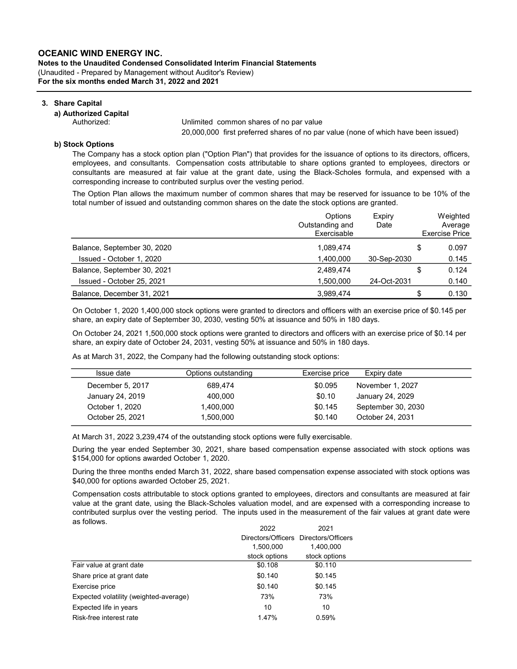Notes to the Unaudited Condensed Consolidated Interim Financial Statements For the six months ended March 31, 2022 and 2021 (Unaudited - Prepared by Management without Auditor's Review)

#### 3. Share Capital

#### a) Authorized Capital

 Authorized: Authorized: Unlimited common shares of no par value 20,000,000 first preferred shares of no par value (none of which have been issued)

#### b) Stock Options

The Company has a stock option plan ("Option Plan") that provides for the issuance of options to its directors, officers, employees, and consultants. Compensation costs attributable to share options granted to employees, directors or consultants are measured at fair value at the grant date, using the Black-Scholes formula, and expensed with a corresponding increase to contributed surplus over the vesting period.

The Option Plan allows the maximum number of common shares that may be reserved for issuance to be 10% of the total number of issued and outstanding common shares on the date the stock options are granted.

|                             | Options<br>Outstanding and<br>Exercisable | Expiry<br>Date | Weighted<br>Average<br><b>Exercise Price</b> |
|-----------------------------|-------------------------------------------|----------------|----------------------------------------------|
| Balance, September 30, 2020 | 1.089.474                                 |                | \$<br>0.097                                  |
| Issued - October 1, 2020    | 1,400,000                                 | 30-Sep-2030    | 0.145                                        |
| Balance, September 30, 2021 | 2,489,474                                 |                | \$<br>0.124                                  |
| Issued - October 25, 2021   | 1.500.000                                 | 24-Oct-2031    | 0.140                                        |
| Balance, December 31, 2021  | 3,989,474                                 |                | 0.130                                        |

On October 1, 2020 1,400,000 stock options were granted to directors and officers with an exercise price of \$0.145 per share, an expiry date of September 30, 2030, vesting 50% at issuance and 50% in 180 days.

On October 24, 2021 1,500,000 stock options were granted to directors and officers with an exercise price of \$0.14 per share, an expiry date of October 24, 2031, vesting 50% at issuance and 50% in 180 days.

As at March 31, 2022, the Company had the following outstanding stock options:

| Issue date       | Options outstanding | Exercise price | Expiry date        |
|------------------|---------------------|----------------|--------------------|
| December 5, 2017 | 689.474             | \$0.095        | November 1, 2027   |
| January 24, 2019 | 400.000             | \$0.10         | January 24, 2029   |
| October 1, 2020  | 1.400.000           | \$0.145        | September 30, 2030 |
| October 25, 2021 | 1.500.000           | \$0.140        | October 24, 2031   |

At March 31, 2022 3,239,474 of the outstanding stock options were fully exercisable.

During the year ended September 30, 2021, share based compensation expense associated with stock options was \$154,000 for options awarded October 1, 2020.

During the three months ended March 31, 2022, share based compensation expense associated with stock options was \$40,000 for options awarded October 25, 2021.

Compensation costs attributable to stock options granted to employees, directors and consultants are measured at fair value at the grant date, using the Black-Scholes valuation model, and are expensed with a corresponding increase to contributed surplus over the vesting period. The inputs used in the measurement of the fair values at grant date were as follows.

|                                        | 2022          | 2021                                  |
|----------------------------------------|---------------|---------------------------------------|
|                                        |               | Directors/Officers Directors/Officers |
|                                        | 1,500,000     | 1.400.000                             |
|                                        | stock options | stock options                         |
| Fair value at grant date               | \$0.108       | \$0.110                               |
| Share price at grant date              | \$0.140       | \$0.145                               |
| Exercise price                         | \$0.140       | \$0.145                               |
| Expected volatility (weighted-average) | 73%           | 73%                                   |
| Expected life in years                 | 10            | 10                                    |
| Risk-free interest rate                | 1.47%         | 0.59%                                 |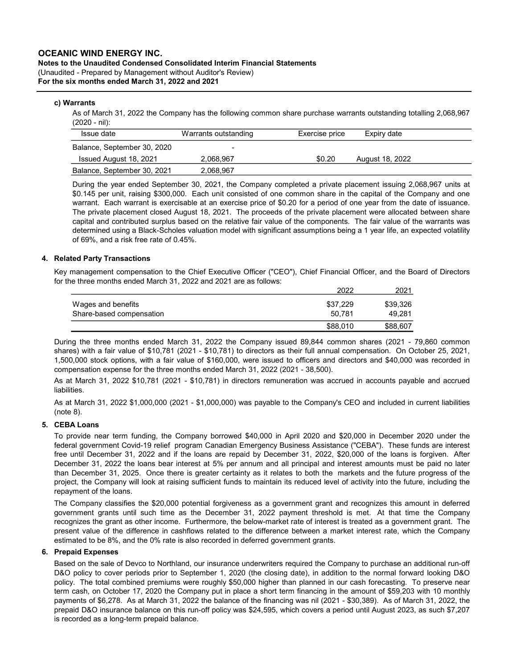### Notes to the Unaudited Condensed Consolidated Interim Financial Statements (Unaudited - Prepared by Management without Auditor's Review)

For the six months ended March 31, 2022 and 2021

#### c) Warrants

As of March 31, 2022 the Company has the following common share purchase warrants outstanding totalling 2,068,967 (2020 - nil):

| Issue date                  | Warrants outstanding | Exercise price | Expiry date     |  |
|-----------------------------|----------------------|----------------|-----------------|--|
| Balance, September 30, 2020 |                      |                |                 |  |
| Issued August 18, 2021      | 2.068.967            | \$0.20         | August 18, 2022 |  |
| Balance, September 30, 2021 | 2.068.967            |                |                 |  |

During the year ended September 30, 2021, the Company completed a private placement issuing 2,068,967 units at \$0.145 per unit, raising \$300,000. Each unit consisted of one common share in the capital of the Company and one warrant. Each warrant is exercisable at an exercise price of \$0.20 for a period of one year from the date of issuance. The private placement closed August 18, 2021. The proceeds of the private placement were allocated between share capital and contributed surplus based on the relative fair value of the components. The fair value of the warrants was determined using a Black-Scholes valuation model with significant assumptions being a 1 year life, an expected volatility of 69%, and a risk free rate of 0.45%.

#### 4. Related Party Transactions

Key management compensation to the Chief Executive Officer ("CEO"), Chief Financial Officer, and the Board of Directors for the three months ended March 31, 2022 and 2021 are as follows:

|                          | 2022     | 2021     |
|--------------------------|----------|----------|
| Wages and benefits       | \$37.229 | \$39,326 |
| Share-based compensation | 50.781   | 49.281   |
|                          | \$88,010 | \$88,607 |

During the three months ended March 31, 2022 the Company issued 89,844 common shares (2021 - 79,860 common shares) with a fair value of \$10,781 (2021 - \$10,781) to directors as their full annual compensation. On October 25, 2021, 1,500,000 stock options, with a fair value of \$160,000, were issued to officers and directors and \$40,000 was recorded in compensation expense for the three months ended March 31, 2022 (2021 - 38,500).

As at March 31, 2022 \$10,781 (2021 - \$10,781) in directors remuneration was accrued in accounts payable and accrued liabilities.

As at March 31, 2022 \$1,000,000 (2021 - \$1,000,000) was payable to the Company's CEO and included in current liabilities (note 8).

#### 5. CEBA Loans

To provide near term funding, the Company borrowed \$40,000 in April 2020 and \$20,000 in December 2020 under the federal government Covid-19 relief program Canadian Emergency Business Assistance ("CEBA"). These funds are interest free until December 31, 2022 and if the loans are repaid by December 31, 2022, \$20,000 of the loans is forgiven. After December 31, 2022 the loans bear interest at 5% per annum and all principal and interest amounts must be paid no later than December 31, 2025. Once there is greater certainty as it relates to both the markets and the future progress of the project, the Company will look at raising sufficient funds to maintain its reduced level of activity into the future, including the repayment of the loans.

The Company classifies the \$20,000 potential forgiveness as a government grant and recognizes this amount in deferred government grants until such time as the December 31, 2022 payment threshold is met. At that time the Company recognizes the grant as other income. Furthermore, the below-market rate of interest is treated as a government grant. The present value of the difference in cashflows related to the difference between a market interest rate, which the Company estimated to be 8%, and the 0% rate is also recorded in deferred government grants.

#### 6. Prepaid Expenses

Based on the sale of Devco to Northland, our insurance underwriters required the Company to purchase an additional run-off D&O policy to cover periods prior to September 1, 2020 (the closing date), in addition to the normal forward looking D&O policy. The total combined premiums were roughly \$50,000 higher than planned in our cash forecasting. To preserve near term cash, on October 17, 2020 the Company put in place a short term financing in the amount of \$59,203 with 10 monthly payments of \$6,278. As at March 31, 2022 the balance of the financing was nil (2021 - \$30,389). As of March 31, 2022, the prepaid D&O insurance balance on this run-off policy was \$24,595, which covers a period until August 2023, as such \$7,207 is recorded as a long-term prepaid balance.